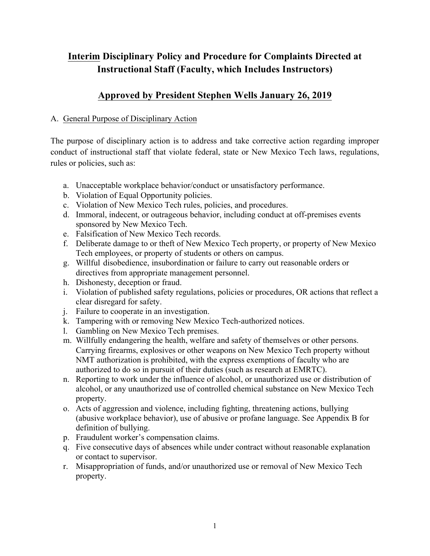## **Interim Disciplinary Policy and Procedure for Complaints Directed at Instructional Staff (Faculty, which Includes Instructors)**

## **Approved by President Stephen Wells January 26, 2019**

## A. General Purpose of Disciplinary Action

The purpose of disciplinary action is to address and take corrective action regarding improper conduct of instructional staff that violate federal, state or New Mexico Tech laws, regulations, rules or policies, such as:

- a. Unacceptable workplace behavior/conduct or unsatisfactory performance.
- b. Violation of Equal Opportunity policies.
- c. Violation of New Mexico Tech rules, policies, and procedures.
- d. Immoral, indecent, or outrageous behavior, including conduct at off-premises events sponsored by New Mexico Tech.
- e. Falsification of New Mexico Tech records.
- f. Deliberate damage to or theft of New Mexico Tech property, or property of New Mexico Tech employees, or property of students or others on campus.
- g. Willful disobedience, insubordination or failure to carry out reasonable orders or directives from appropriate management personnel.
- h. Dishonesty, deception or fraud.
- i. Violation of published safety regulations, policies or procedures, OR actions that reflect a clear disregard for safety.
- j. Failure to cooperate in an investigation.
- k. Tampering with or removing New Mexico Tech-authorized notices.
- l. Gambling on New Mexico Tech premises.
- m. Willfully endangering the health, welfare and safety of themselves or other persons. Carrying firearms, explosives or other weapons on New Mexico Tech property without NMT authorization is prohibited, with the express exemptions of faculty who are authorized to do so in pursuit of their duties (such as research at EMRTC).
- n. Reporting to work under the influence of alcohol, or unauthorized use or distribution of alcohol, or any unauthorized use of controlled chemical substance on New Mexico Tech property.
- o. Acts of aggression and violence, including fighting, threatening actions, bullying (abusive workplace behavior), use of abusive or profane language. See Appendix B for definition of bullying.
- p. Fraudulent worker's compensation claims.
- q. Five consecutive days of absences while under contract without reasonable explanation or contact to supervisor.
- r. Misappropriation of funds, and/or unauthorized use or removal of New Mexico Tech property.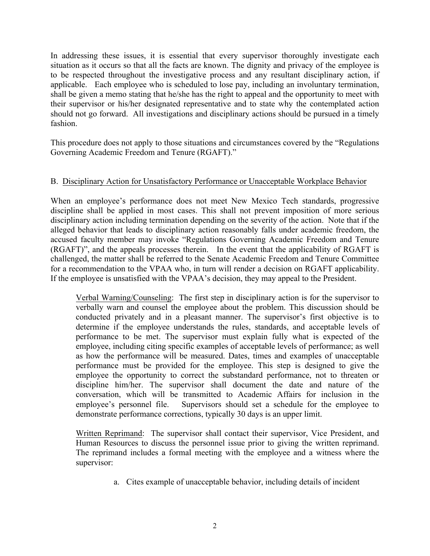In addressing these issues, it is essential that every supervisor thoroughly investigate each situation as it occurs so that all the facts are known. The dignity and privacy of the employee is to be respected throughout the investigative process and any resultant disciplinary action, if applicable. Each employee who is scheduled to lose pay, including an involuntary termination, shall be given a memo stating that he/she has the right to appeal and the opportunity to meet with their supervisor or his/her designated representative and to state why the contemplated action should not go forward. All investigations and disciplinary actions should be pursued in a timely fashion.

This procedure does not apply to those situations and circumstances covered by the "Regulations Governing Academic Freedom and Tenure (RGAFT)."

## B. Disciplinary Action for Unsatisfactory Performance or Unacceptable Workplace Behavior

When an employee's performance does not meet New Mexico Tech standards, progressive discipline shall be applied in most cases. This shall not prevent imposition of more serious disciplinary action including termination depending on the severity of the action. Note that if the alleged behavior that leads to disciplinary action reasonably falls under academic freedom, the accused faculty member may invoke "Regulations Governing Academic Freedom and Tenure (RGAFT)", and the appeals processes therein. In the event that the applicability of RGAFT is challenged, the matter shall be referred to the Senate Academic Freedom and Tenure Committee for a recommendation to the VPAA who, in turn will render a decision on RGAFT applicability. If the employee is unsatisfied with the VPAA's decision, they may appeal to the President.

Verbal Warning/Counseling: The first step in disciplinary action is for the supervisor to verbally warn and counsel the employee about the problem. This discussion should be conducted privately and in a pleasant manner. The supervisor's first objective is to determine if the employee understands the rules, standards, and acceptable levels of performance to be met. The supervisor must explain fully what is expected of the employee, including citing specific examples of acceptable levels of performance; as well as how the performance will be measured. Dates, times and examples of unacceptable performance must be provided for the employee. This step is designed to give the employee the opportunity to correct the substandard performance, not to threaten or discipline him/her. The supervisor shall document the date and nature of the conversation, which will be transmitted to Academic Affairs for inclusion in the employee's personnel file. Supervisors should set a schedule for the employee to demonstrate performance corrections, typically 30 days is an upper limit.

Written Reprimand: The supervisor shall contact their supervisor, Vice President, and Human Resources to discuss the personnel issue prior to giving the written reprimand. The reprimand includes a formal meeting with the employee and a witness where the supervisor:

a. Cites example of unacceptable behavior, including details of incident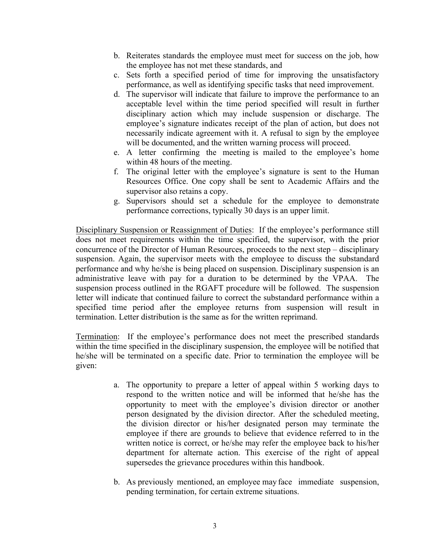- b. Reiterates standards the employee must meet for success on the job, how the employee has not met these standards, and
- c. Sets forth a specified period of time for improving the unsatisfactory performance, as well as identifying specific tasks that need improvement.
- d. The supervisor will indicate that failure to improve the performance to an acceptable level within the time period specified will result in further disciplinary action which may include suspension or discharge. The employee's signature indicates receipt of the plan of action, but does not necessarily indicate agreement with it. A refusal to sign by the employee will be documented, and the written warning process will proceed.
- e. A letter confirming the meeting is mailed to the employee's home within 48 hours of the meeting.
- f. The original letter with the employee's signature is sent to the Human Resources Office. One copy shall be sent to Academic Affairs and the supervisor also retains a copy.
- g. Supervisors should set a schedule for the employee to demonstrate performance corrections, typically 30 days is an upper limit.

Disciplinary Suspension or Reassignment of Duties: If the employee's performance still does not meet requirements within the time specified, the supervisor, with the prior concurrence of the Director of Human Resources, proceeds to the next step – disciplinary suspension. Again, the supervisor meets with the employee to discuss the substandard performance and why he/she is being placed on suspension. Disciplinary suspension is an administrative leave with pay for a duration to be determined by the VPAA. The suspension process outlined in the RGAFT procedure will be followed. The suspension letter will indicate that continued failure to correct the substandard performance within a specified time period after the employee returns from suspension will result in termination. Letter distribution is the same as for the written reprimand.

Termination: If the employee's performance does not meet the prescribed standards within the time specified in the disciplinary suspension, the employee will be notified that he/she will be terminated on a specific date. Prior to termination the employee will be given:

- a. The opportunity to prepare a letter of appeal within 5 working days to respond to the written notice and will be informed that he/she has the opportunity to meet with the employee's division director or another person designated by the division director. After the scheduled meeting, the division director or his/her designated person may terminate the employee if there are grounds to believe that evidence referred to in the written notice is correct, or he/she may refer the employee back to his/her department for alternate action. This exercise of the right of appeal supersedes the grievance procedures within this handbook.
- b. As previously mentioned, an employee may face immediate suspension, pending termination, for certain extreme situations.